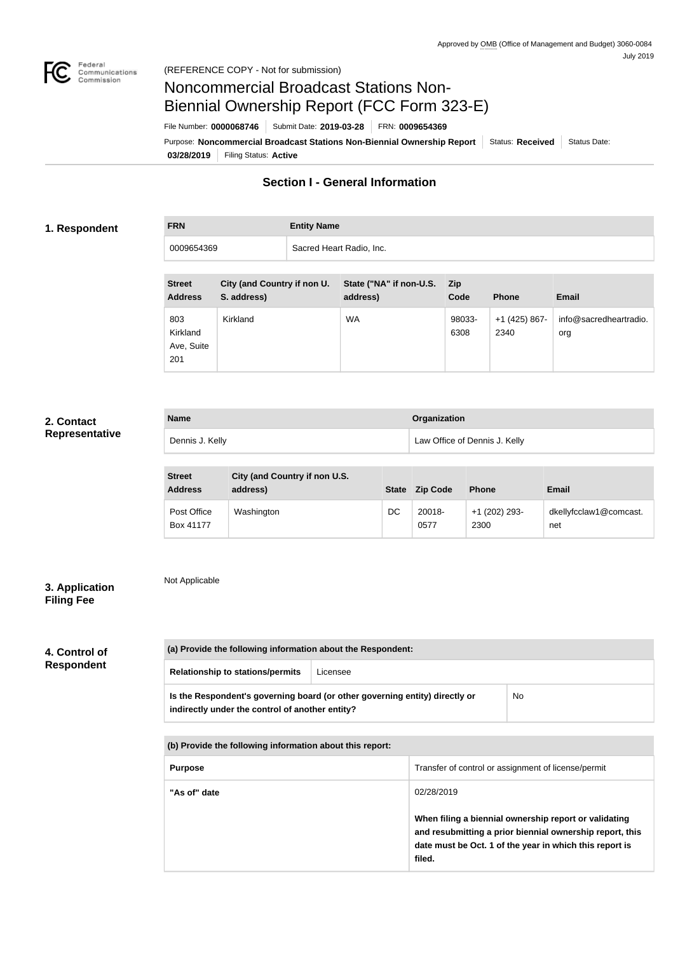

# Noncommercial Broadcast Stations Non-Biennial Ownership Report (FCC Form 323-E)

File Number: **0000068746** Submit Date: **2019-03-28** FRN: **0009654369**

**03/28/2019** Filing Status: **Active** Purpose: Noncommercial Broadcast Stations Non-Biennial Ownership Report Status: Received Status Date:

# **Section I - General Information**

### **1. Respondent**

**FRN Entity Name** 0009654369 Sacred Heart Radio, Inc.

| <b>Street</b><br><b>Address</b>      | City (and Country if non U.<br>S. address) | State ("NA" if non-U.S.<br>address) | <b>Zip</b><br>Code | <b>Phone</b>          | <b>Email</b>                  |
|--------------------------------------|--------------------------------------------|-------------------------------------|--------------------|-----------------------|-------------------------------|
| 803<br>Kirkland<br>Ave, Suite<br>201 | Kirkland                                   | <b>WA</b>                           | 98033-<br>6308     | +1 (425) 867-<br>2340 | info@sacredheartradio.<br>org |

# **2. Contact Representative**

| <b>Name</b>     | <b>Organization</b>           |
|-----------------|-------------------------------|
| Dennis J. Kelly | Law Office of Dennis J. Kelly |

| <b>Street</b><br><b>Address</b> | City (and Country if non U.S.<br>address) | <b>State</b> | <b>Zip Code</b> | <b>Phone</b>          | <b>Email</b>                  |
|---------------------------------|-------------------------------------------|--------------|-----------------|-----------------------|-------------------------------|
| Post Office<br>Box 41177        | Washington                                | DC           | 20018-<br>0577  | +1 (202) 293-<br>2300 | dkellyfcclaw1@comcast.<br>net |

# **3. Application Filing Fee**

Not Applicable

# **4. Control of Respondent**

| (a) Provide the following information about the Respondent:                                                                    |          |    |  |  |
|--------------------------------------------------------------------------------------------------------------------------------|----------|----|--|--|
| <b>Relationship to stations/permits</b>                                                                                        | Licensee |    |  |  |
| Is the Respondent's governing board (or other governing entity) directly or<br>indirectly under the control of another entity? |          | No |  |  |

**(b) Provide the following information about this report:**

| <b>Purpose</b> | Transfer of control or assignment of license/permit                                                                                                                                    |
|----------------|----------------------------------------------------------------------------------------------------------------------------------------------------------------------------------------|
| "As of" date   | 02/28/2019                                                                                                                                                                             |
|                | When filing a biennial ownership report or validating<br>and resubmitting a prior biennial ownership report, this<br>date must be Oct. 1 of the year in which this report is<br>filed. |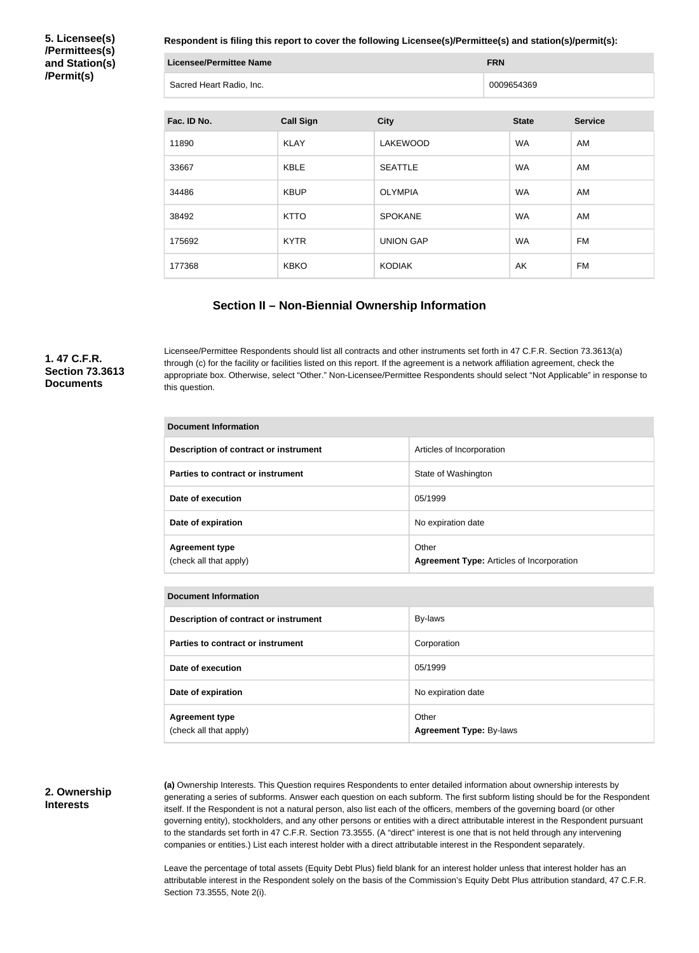**5. Licensee(s) /Permittees(s) and Station(s) /Permit(s)**

**Respondent is filing this report to cover the following Licensee(s)/Permittee(s) and station(s)/permit(s):**

| Licensee/Permittee Name  | <b>FRN</b> |
|--------------------------|------------|
| Sacred Heart Radio, Inc. | 0009654369 |

| Fac. ID No. | <b>Call Sign</b> | <b>City</b>      | <b>State</b> | <b>Service</b> |
|-------------|------------------|------------------|--------------|----------------|
| 11890       | <b>KLAY</b>      | <b>LAKEWOOD</b>  | <b>WA</b>    | AM             |
| 33667       | KBLE             | <b>SEATTLE</b>   | <b>WA</b>    | AM             |
| 34486       | <b>KBUP</b>      | <b>OLYMPIA</b>   | <b>WA</b>    | AM             |
| 38492       | <b>KTTO</b>      | <b>SPOKANE</b>   | <b>WA</b>    | AM             |
| 175692      | <b>KYTR</b>      | <b>UNION GAP</b> | <b>WA</b>    | FM             |
| 177368      | <b>KBKO</b>      | <b>KODIAK</b>    | AK           | FM             |

### **Section II – Non-Biennial Ownership Information**

**1. 47 C.F.R. Section 73.3613 Documents**

Licensee/Permittee Respondents should list all contracts and other instruments set forth in 47 C.F.R. Section 73.3613(a) through (c) for the facility or facilities listed on this report. If the agreement is a network affiliation agreement, check the appropriate box. Otherwise, select "Other." Non-Licensee/Permittee Respondents should select "Not Applicable" in response to this question.

| <b>Document Information</b>                     |                                                           |  |  |
|-------------------------------------------------|-----------------------------------------------------------|--|--|
| Description of contract or instrument           | Articles of Incorporation                                 |  |  |
| Parties to contract or instrument               | State of Washington                                       |  |  |
| Date of execution                               | 05/1999                                                   |  |  |
| Date of expiration                              | No expiration date                                        |  |  |
| <b>Agreement type</b><br>(check all that apply) | Other<br><b>Agreement Type: Articles of Incorporation</b> |  |  |

| <b>Document Information</b>                     |                                         |
|-------------------------------------------------|-----------------------------------------|
| Description of contract or instrument           | By-laws                                 |
| Parties to contract or instrument               | Corporation                             |
| Date of execution                               | 05/1999                                 |
| Date of expiration                              | No expiration date                      |
| <b>Agreement type</b><br>(check all that apply) | Other<br><b>Agreement Type: By-laws</b> |

#### **2. Ownership Interests**

**(a)** Ownership Interests. This Question requires Respondents to enter detailed information about ownership interests by generating a series of subforms. Answer each question on each subform. The first subform listing should be for the Respondent itself. If the Respondent is not a natural person, also list each of the officers, members of the governing board (or other governing entity), stockholders, and any other persons or entities with a direct attributable interest in the Respondent pursuant to the standards set forth in 47 C.F.R. Section 73.3555. (A "direct" interest is one that is not held through any intervening companies or entities.) List each interest holder with a direct attributable interest in the Respondent separately.

Leave the percentage of total assets (Equity Debt Plus) field blank for an interest holder unless that interest holder has an attributable interest in the Respondent solely on the basis of the Commission's Equity Debt Plus attribution standard, 47 C.F.R. Section 73.3555, Note 2(i).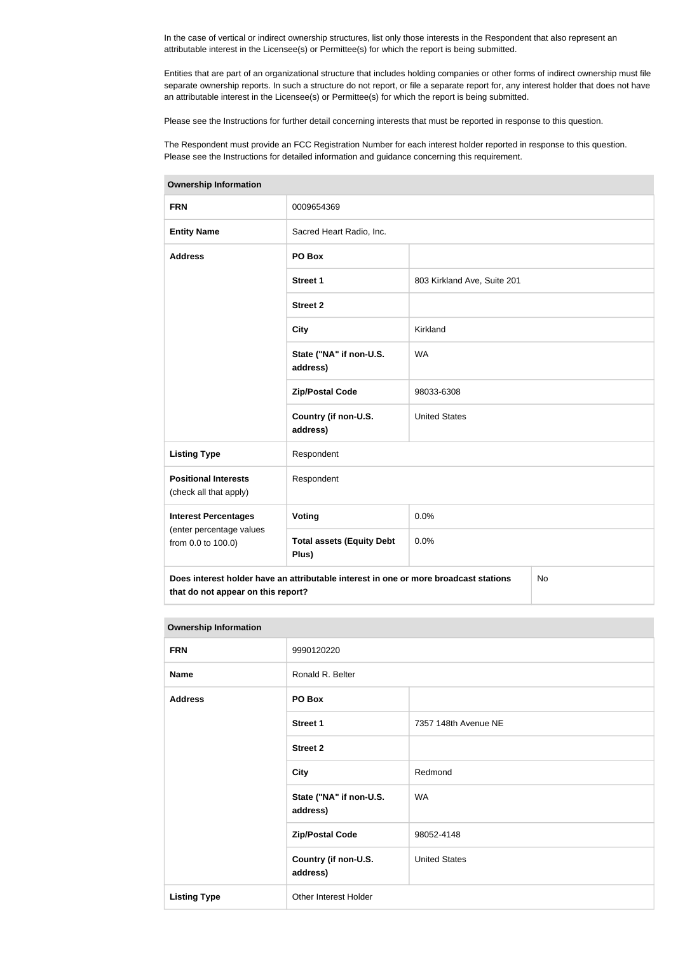In the case of vertical or indirect ownership structures, list only those interests in the Respondent that also represent an attributable interest in the Licensee(s) or Permittee(s) for which the report is being submitted.

Entities that are part of an organizational structure that includes holding companies or other forms of indirect ownership must file separate ownership reports. In such a structure do not report, or file a separate report for, any interest holder that does not have an attributable interest in the Licensee(s) or Permittee(s) for which the report is being submitted.

Please see the Instructions for further detail concerning interests that must be reported in response to this question.

The Respondent must provide an FCC Registration Number for each interest holder reported in response to this question. Please see the Instructions for detailed information and guidance concerning this requirement.

| <b>FRN</b>                                                                                                                              | 0009654369                                |                             |  |  |
|-----------------------------------------------------------------------------------------------------------------------------------------|-------------------------------------------|-----------------------------|--|--|
| <b>Entity Name</b>                                                                                                                      | Sacred Heart Radio, Inc.                  |                             |  |  |
| <b>Address</b>                                                                                                                          | PO Box                                    |                             |  |  |
|                                                                                                                                         | <b>Street 1</b>                           | 803 Kirkland Ave, Suite 201 |  |  |
|                                                                                                                                         | <b>Street 2</b>                           |                             |  |  |
|                                                                                                                                         | <b>City</b>                               | Kirkland                    |  |  |
|                                                                                                                                         | State ("NA" if non-U.S.<br>address)       | <b>WA</b>                   |  |  |
|                                                                                                                                         | <b>Zip/Postal Code</b>                    | 98033-6308                  |  |  |
|                                                                                                                                         | Country (if non-U.S.<br>address)          | <b>United States</b>        |  |  |
| <b>Listing Type</b>                                                                                                                     | Respondent                                |                             |  |  |
| <b>Positional Interests</b><br>(check all that apply)                                                                                   | Respondent                                |                             |  |  |
| <b>Interest Percentages</b>                                                                                                             | Voting                                    | 0.0%                        |  |  |
| (enter percentage values<br>from 0.0 to 100.0)                                                                                          | <b>Total assets (Equity Debt</b><br>Plus) | 0.0%                        |  |  |
| Does interest holder have an attributable interest in one or more broadcast stations<br><b>No</b><br>that do not appear on this report? |                                           |                             |  |  |

#### **Ownership Information**

| <b>FRN</b>          | 9990120220                          |                      |  |
|---------------------|-------------------------------------|----------------------|--|
| <b>Name</b>         | Ronald R. Belter                    |                      |  |
| <b>Address</b>      | PO Box                              |                      |  |
|                     | <b>Street 1</b>                     | 7357 148th Avenue NE |  |
|                     | <b>Street 2</b>                     |                      |  |
|                     | <b>City</b>                         | Redmond              |  |
|                     | State ("NA" if non-U.S.<br>address) | <b>WA</b>            |  |
|                     | <b>Zip/Postal Code</b>              | 98052-4148           |  |
|                     | Country (if non-U.S.<br>address)    | <b>United States</b> |  |
| <b>Listing Type</b> | Other Interest Holder               |                      |  |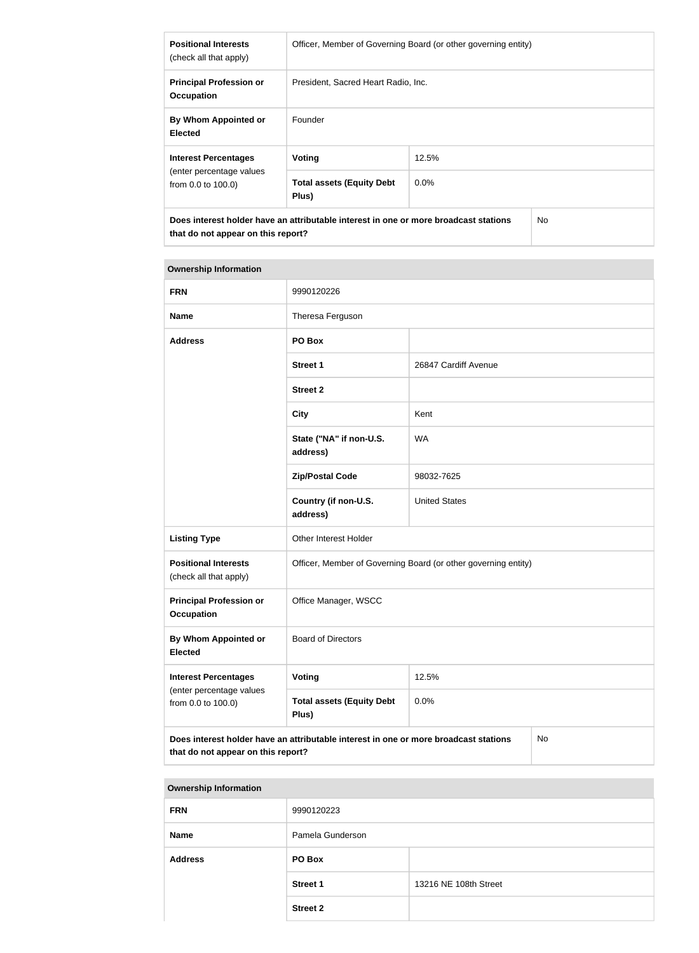| <b>Positional Interests</b><br>(check all that apply)                                                                                        | Officer, Member of Governing Board (or other governing entity) |         |  |
|----------------------------------------------------------------------------------------------------------------------------------------------|----------------------------------------------------------------|---------|--|
| <b>Principal Profession or</b><br><b>Occupation</b>                                                                                          | President, Sacred Heart Radio, Inc.                            |         |  |
| By Whom Appointed or<br><b>Elected</b>                                                                                                       | Founder                                                        |         |  |
| <b>Interest Percentages</b>                                                                                                                  | Voting                                                         | 12.5%   |  |
| (enter percentage values)<br>from 0.0 to 100.0)                                                                                              | <b>Total assets (Equity Debt</b><br>Plus)                      | $0.0\%$ |  |
| Does interest holder have an attributable interest in one or more broadcast stations<br>N <sub>o</sub><br>that do not appear on this report? |                                                                |         |  |

| <b>FRN</b>                                                                    | 9990120226                                                                           |                      |    |
|-------------------------------------------------------------------------------|--------------------------------------------------------------------------------------|----------------------|----|
| <b>Name</b>                                                                   | Theresa Ferguson                                                                     |                      |    |
| <b>Address</b>                                                                | PO Box                                                                               |                      |    |
|                                                                               | <b>Street 1</b>                                                                      | 26847 Cardiff Avenue |    |
|                                                                               | <b>Street 2</b>                                                                      |                      |    |
|                                                                               | <b>City</b>                                                                          | Kent                 |    |
|                                                                               | State ("NA" if non-U.S.<br>address)                                                  | <b>WA</b>            |    |
|                                                                               | <b>Zip/Postal Code</b>                                                               | 98032-7625           |    |
|                                                                               | Country (if non-U.S.<br>address)                                                     | <b>United States</b> |    |
| <b>Listing Type</b>                                                           | Other Interest Holder                                                                |                      |    |
| <b>Positional Interests</b><br>(check all that apply)                         | Officer, Member of Governing Board (or other governing entity)                       |                      |    |
| <b>Principal Profession or</b><br><b>Occupation</b>                           | Office Manager, WSCC                                                                 |                      |    |
| <b>By Whom Appointed or</b><br><b>Elected</b>                                 | <b>Board of Directors</b>                                                            |                      |    |
| <b>Interest Percentages</b><br>(enter percentage values<br>from 0.0 to 100.0) | <b>Voting</b>                                                                        | 12.5%                |    |
|                                                                               | <b>Total assets (Equity Debt</b><br>Plus)                                            | 0.0%                 |    |
| that do not appear on this report?                                            | Does interest holder have an attributable interest in one or more broadcast stations |                      | No |

| 9990120223       |                       |
|------------------|-----------------------|
| Pamela Gunderson |                       |
| PO Box           |                       |
| <b>Street 1</b>  | 13216 NE 108th Street |
| <b>Street 2</b>  |                       |
|                  |                       |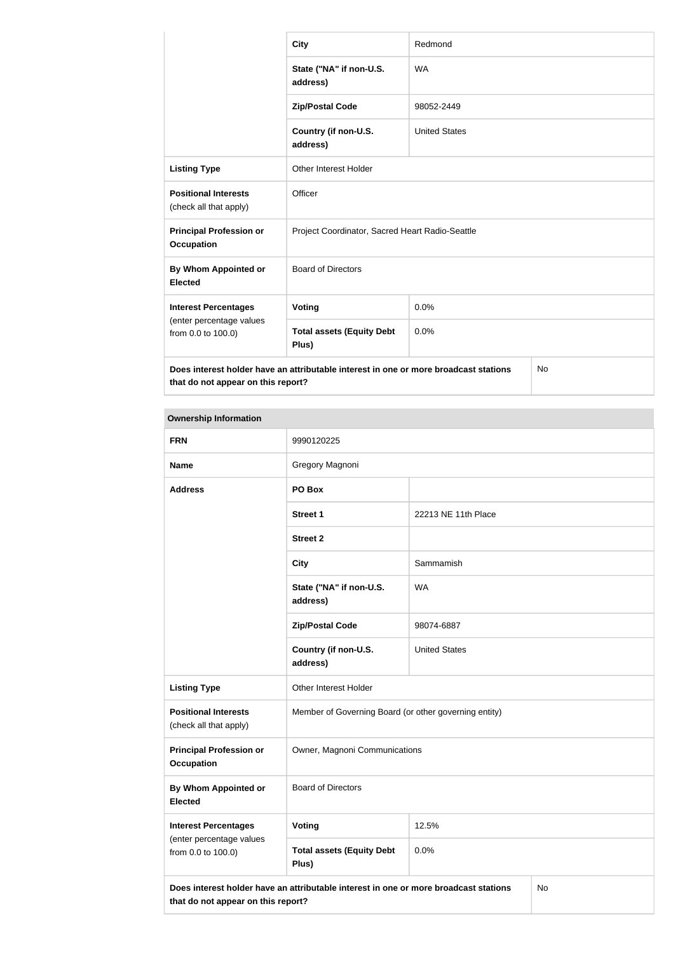|                                                       | <b>City</b>                                                                          | Redmond              |           |
|-------------------------------------------------------|--------------------------------------------------------------------------------------|----------------------|-----------|
|                                                       | State ("NA" if non-U.S.<br>address)                                                  | <b>WA</b>            |           |
|                                                       | <b>Zip/Postal Code</b>                                                               | 98052-2449           |           |
|                                                       | Country (if non-U.S.<br>address)                                                     | <b>United States</b> |           |
| <b>Listing Type</b>                                   | <b>Other Interest Holder</b>                                                         |                      |           |
| <b>Positional Interests</b><br>(check all that apply) | Officer                                                                              |                      |           |
| <b>Principal Profession or</b><br><b>Occupation</b>   | Project Coordinator, Sacred Heart Radio-Seattle                                      |                      |           |
| By Whom Appointed or<br><b>Elected</b>                | <b>Board of Directors</b>                                                            |                      |           |
| <b>Interest Percentages</b>                           | Voting                                                                               | 0.0%                 |           |
| (enter percentage values<br>from 0.0 to 100.0)        | <b>Total assets (Equity Debt</b><br>Plus)                                            | 0.0%                 |           |
| that do not appear on this report?                    | Does interest holder have an attributable interest in one or more broadcast stations |                      | <b>No</b> |

| <b>FRN</b>                                            | 9990120225                                                                           |                      |    |
|-------------------------------------------------------|--------------------------------------------------------------------------------------|----------------------|----|
| <b>Name</b>                                           | Gregory Magnoni                                                                      |                      |    |
| <b>Address</b>                                        | PO Box                                                                               |                      |    |
|                                                       | <b>Street 1</b>                                                                      | 22213 NE 11th Place  |    |
|                                                       | <b>Street 2</b>                                                                      |                      |    |
|                                                       | <b>City</b>                                                                          | Sammamish            |    |
|                                                       | State ("NA" if non-U.S.<br>address)                                                  | <b>WA</b>            |    |
|                                                       | <b>Zip/Postal Code</b>                                                               | 98074-6887           |    |
|                                                       | Country (if non-U.S.<br>address)                                                     | <b>United States</b> |    |
| <b>Listing Type</b>                                   | Other Interest Holder                                                                |                      |    |
| <b>Positional Interests</b><br>(check all that apply) | Member of Governing Board (or other governing entity)                                |                      |    |
| <b>Principal Profession or</b><br><b>Occupation</b>   | Owner, Magnoni Communications                                                        |                      |    |
| By Whom Appointed or<br><b>Elected</b>                | <b>Board of Directors</b>                                                            |                      |    |
| <b>Interest Percentages</b>                           | Voting                                                                               | 12.5%                |    |
| (enter percentage values<br>from 0.0 to 100.0)        | <b>Total assets (Equity Debt</b><br>Plus)                                            | 0.0%                 |    |
| that do not appear on this report?                    | Does interest holder have an attributable interest in one or more broadcast stations |                      | No |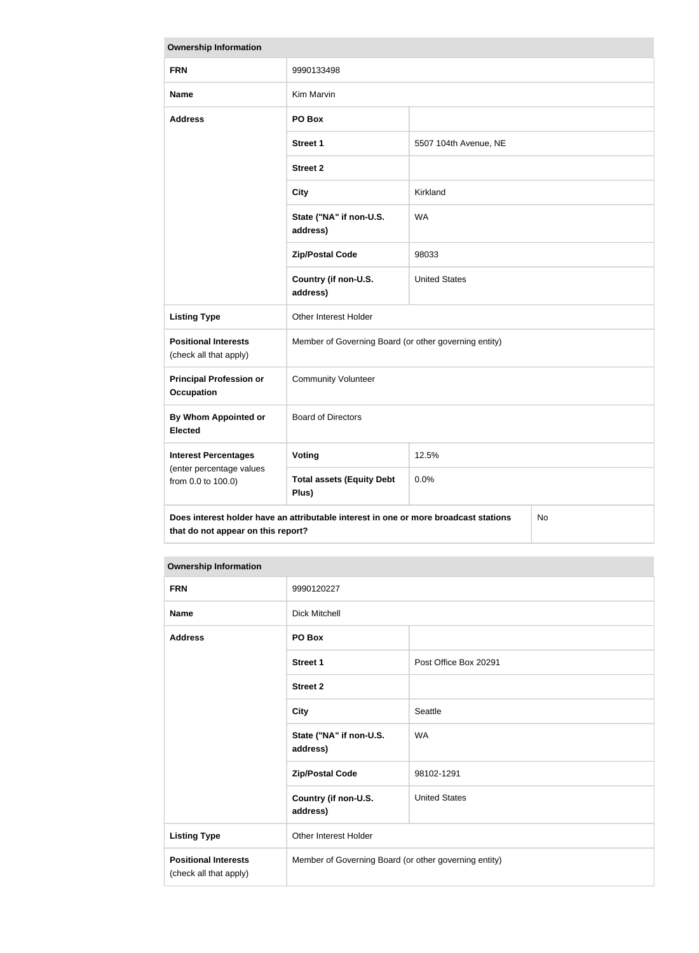| <b>Ownership Information</b>                          |                                                                                      |                       |    |
|-------------------------------------------------------|--------------------------------------------------------------------------------------|-----------------------|----|
| <b>FRN</b>                                            | 9990133498                                                                           |                       |    |
| <b>Name</b>                                           | Kim Marvin                                                                           |                       |    |
| <b>Address</b>                                        | PO Box                                                                               |                       |    |
|                                                       | <b>Street 1</b>                                                                      | 5507 104th Avenue, NE |    |
|                                                       | <b>Street 2</b>                                                                      |                       |    |
|                                                       | <b>City</b>                                                                          | Kirkland              |    |
|                                                       | State ("NA" if non-U.S.<br>address)                                                  | <b>WA</b>             |    |
|                                                       | <b>Zip/Postal Code</b>                                                               | 98033                 |    |
|                                                       | Country (if non-U.S.<br>address)                                                     | <b>United States</b>  |    |
| <b>Listing Type</b>                                   | Other Interest Holder                                                                |                       |    |
| <b>Positional Interests</b><br>(check all that apply) | Member of Governing Board (or other governing entity)                                |                       |    |
| <b>Principal Profession or</b><br><b>Occupation</b>   | <b>Community Volunteer</b>                                                           |                       |    |
| By Whom Appointed or<br><b>Elected</b>                | <b>Board of Directors</b>                                                            |                       |    |
| <b>Interest Percentages</b>                           | Voting                                                                               | 12.5%                 |    |
| (enter percentage values<br>from 0.0 to 100.0)        | <b>Total assets (Equity Debt</b><br>Plus)                                            | 0.0%                  |    |
| that do not appear on this report?                    | Does interest holder have an attributable interest in one or more broadcast stations |                       | No |

| <b>FRN</b>                                            | 9990120227                                            |                       |
|-------------------------------------------------------|-------------------------------------------------------|-----------------------|
| <b>Name</b>                                           | <b>Dick Mitchell</b>                                  |                       |
| <b>Address</b>                                        | PO Box                                                |                       |
|                                                       | <b>Street 1</b>                                       | Post Office Box 20291 |
|                                                       | <b>Street 2</b>                                       |                       |
|                                                       | <b>City</b>                                           | Seattle               |
|                                                       | State ("NA" if non-U.S.<br>address)                   | <b>WA</b>             |
|                                                       | <b>Zip/Postal Code</b>                                | 98102-1291            |
|                                                       | Country (if non-U.S.<br>address)                      | <b>United States</b>  |
| <b>Listing Type</b>                                   | Other Interest Holder                                 |                       |
| <b>Positional Interests</b><br>(check all that apply) | Member of Governing Board (or other governing entity) |                       |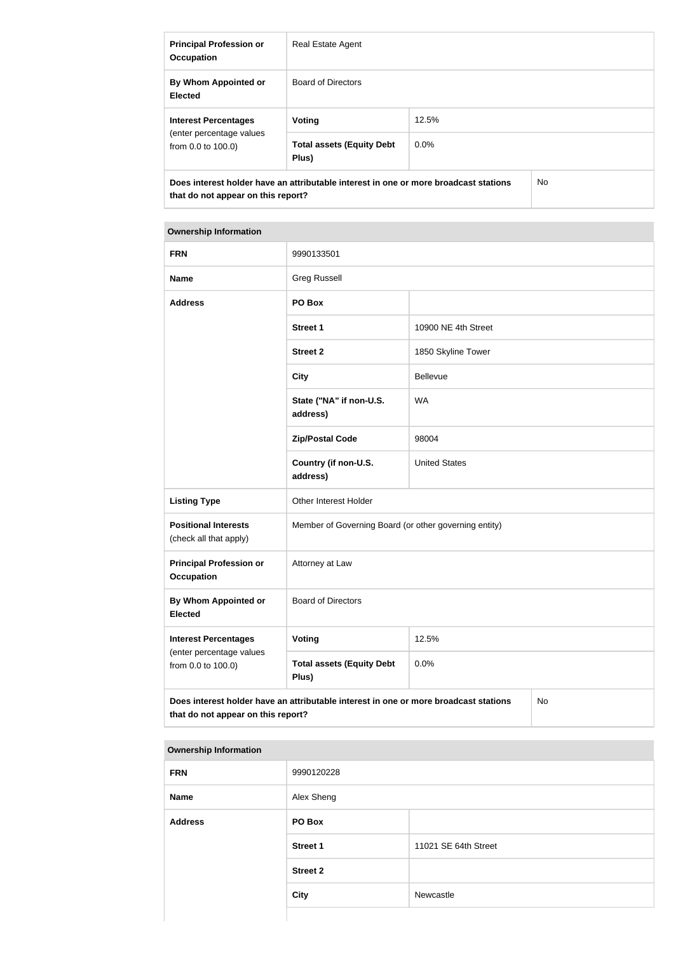| <b>Principal Profession or</b><br><b>Occupation</b>                           | Real Estate Agent                                                                    |         |     |
|-------------------------------------------------------------------------------|--------------------------------------------------------------------------------------|---------|-----|
| By Whom Appointed or<br><b>Elected</b>                                        | <b>Board of Directors</b>                                                            |         |     |
| <b>Interest Percentages</b><br>(enter percentage values<br>from 0.0 to 100.0) | Voting                                                                               | 12.5%   |     |
|                                                                               | <b>Total assets (Equity Debt</b><br>Plus)                                            | $0.0\%$ |     |
| that do not appear on this report?                                            | Does interest holder have an attributable interest in one or more broadcast stations |         | No. |

| <b>FRN</b>                                            | 9990133501                                                                           |                      |    |
|-------------------------------------------------------|--------------------------------------------------------------------------------------|----------------------|----|
| <b>Name</b>                                           | <b>Greg Russell</b>                                                                  |                      |    |
| <b>Address</b>                                        | PO Box                                                                               |                      |    |
|                                                       | <b>Street 1</b>                                                                      | 10900 NE 4th Street  |    |
|                                                       | <b>Street 2</b>                                                                      | 1850 Skyline Tower   |    |
|                                                       | <b>City</b>                                                                          | Bellevue             |    |
|                                                       | State ("NA" if non-U.S.<br>address)                                                  | <b>WA</b>            |    |
|                                                       | <b>Zip/Postal Code</b>                                                               | 98004                |    |
|                                                       | Country (if non-U.S.<br>address)                                                     | <b>United States</b> |    |
| <b>Listing Type</b>                                   | Other Interest Holder                                                                |                      |    |
| <b>Positional Interests</b><br>(check all that apply) | Member of Governing Board (or other governing entity)                                |                      |    |
| <b>Principal Profession or</b><br><b>Occupation</b>   | Attorney at Law                                                                      |                      |    |
| By Whom Appointed or<br><b>Elected</b>                | <b>Board of Directors</b>                                                            |                      |    |
| <b>Interest Percentages</b>                           | <b>Voting</b>                                                                        | 12.5%                |    |
| (enter percentage values<br>from 0.0 to 100.0)        | <b>Total assets (Equity Debt</b><br>Plus)                                            | 0.0%                 |    |
| that do not appear on this report?                    | Does interest holder have an attributable interest in one or more broadcast stations |                      | No |

| <b>FRN</b>     | 9990120228      |                      |
|----------------|-----------------|----------------------|
| <b>Name</b>    | Alex Sheng      |                      |
| <b>Address</b> | PO Box          |                      |
|                | <b>Street 1</b> | 11021 SE 64th Street |
|                | <b>Street 2</b> |                      |
|                | <b>City</b>     | Newcastle            |
|                |                 |                      |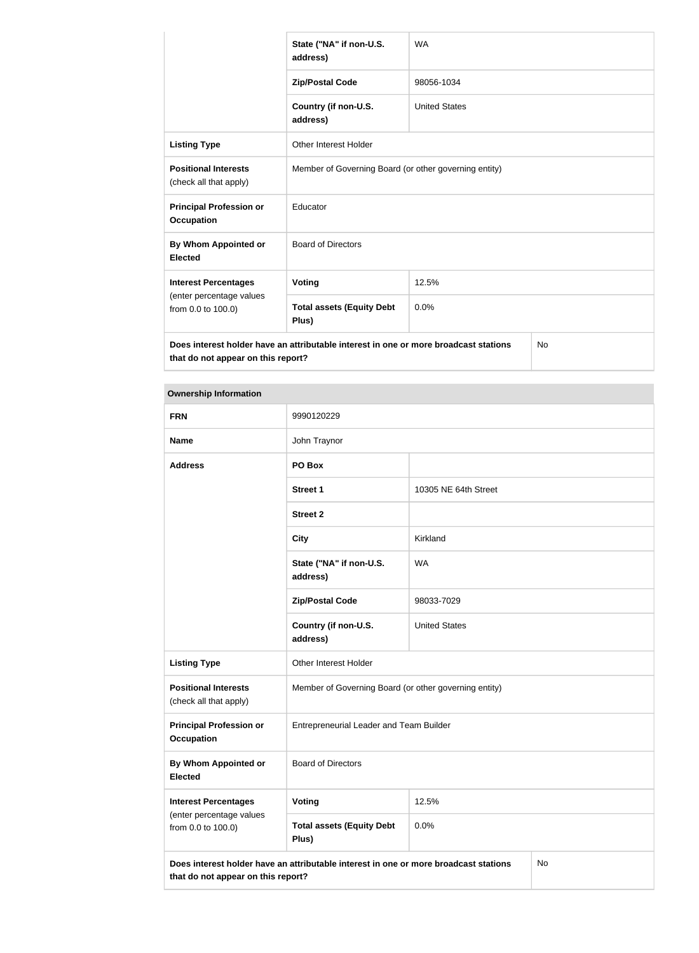|                                                       | State ("NA" if non-U.S.<br>address)                                                  | <b>WA</b>            |    |
|-------------------------------------------------------|--------------------------------------------------------------------------------------|----------------------|----|
|                                                       | <b>Zip/Postal Code</b>                                                               | 98056-1034           |    |
|                                                       | Country (if non-U.S.<br>address)                                                     | <b>United States</b> |    |
| <b>Listing Type</b>                                   | <b>Other Interest Holder</b>                                                         |                      |    |
| <b>Positional Interests</b><br>(check all that apply) | Member of Governing Board (or other governing entity)                                |                      |    |
| <b>Principal Profession or</b><br><b>Occupation</b>   | Educator                                                                             |                      |    |
| By Whom Appointed or<br><b>Elected</b>                | <b>Board of Directors</b>                                                            |                      |    |
| <b>Interest Percentages</b>                           | Voting                                                                               | 12.5%                |    |
| (enter percentage values<br>from 0.0 to 100.0)        | <b>Total assets (Equity Debt</b><br>Plus)                                            | 0.0%                 |    |
| that do not appear on this report?                    | Does interest holder have an attributable interest in one or more broadcast stations |                      | No |

| <b>FRN</b>                                            | 9990120229                                                                           |                      |    |
|-------------------------------------------------------|--------------------------------------------------------------------------------------|----------------------|----|
| <b>Name</b>                                           | John Traynor                                                                         |                      |    |
| <b>Address</b>                                        | PO Box                                                                               |                      |    |
|                                                       | <b>Street 1</b>                                                                      | 10305 NE 64th Street |    |
|                                                       | <b>Street 2</b>                                                                      |                      |    |
|                                                       | <b>City</b>                                                                          | Kirkland             |    |
|                                                       | State ("NA" if non-U.S.<br>address)                                                  | <b>WA</b>            |    |
|                                                       | <b>Zip/Postal Code</b>                                                               | 98033-7029           |    |
|                                                       | Country (if non-U.S.<br>address)                                                     | <b>United States</b> |    |
| <b>Listing Type</b>                                   | Other Interest Holder                                                                |                      |    |
| <b>Positional Interests</b><br>(check all that apply) | Member of Governing Board (or other governing entity)                                |                      |    |
| <b>Principal Profession or</b><br><b>Occupation</b>   | Entrepreneurial Leader and Team Builder                                              |                      |    |
| By Whom Appointed or<br><b>Elected</b>                | <b>Board of Directors</b>                                                            |                      |    |
| <b>Interest Percentages</b>                           | Voting                                                                               | 12.5%                |    |
| (enter percentage values<br>from 0.0 to 100.0)        | <b>Total assets (Equity Debt</b><br>Plus)                                            | 0.0%                 |    |
| that do not appear on this report?                    | Does interest holder have an attributable interest in one or more broadcast stations |                      | No |